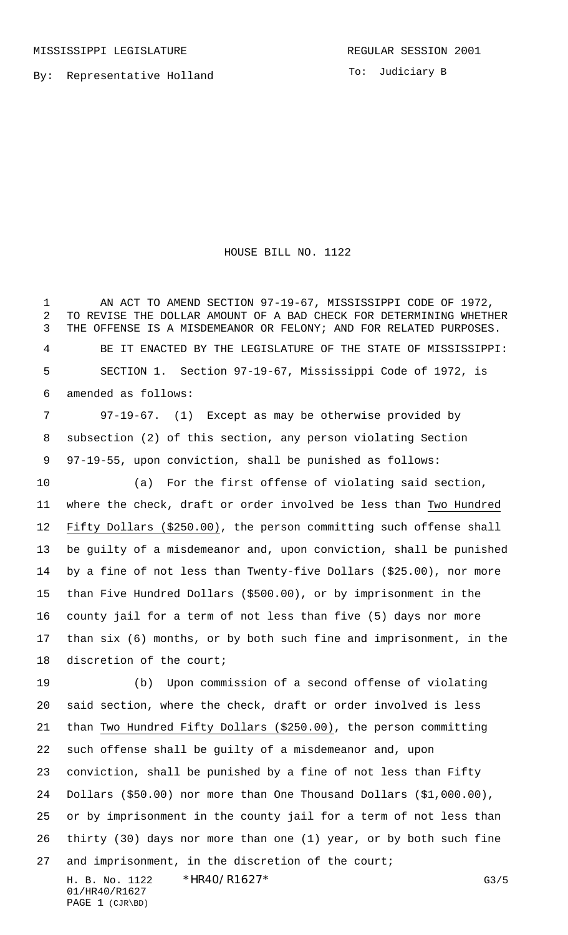By: Representative Holland

To: Judiciary B

## HOUSE BILL NO. 1122

1 AN ACT TO AMEND SECTION 97-19-67, MISSISSIPPI CODE OF 1972, TO REVISE THE DOLLAR AMOUNT OF A BAD CHECK FOR DETERMINING WHETHER THE OFFENSE IS A MISDEMEANOR OR FELONY; AND FOR RELATED PURPOSES. BE IT ENACTED BY THE LEGISLATURE OF THE STATE OF MISSISSIPPI: SECTION 1. Section 97-19-67, Mississippi Code of 1972, is amended as follows:

7 97-19-67. (1) Except as may be otherwise provided by subsection (2) of this section, any person violating Section 97-19-55, upon conviction, shall be punished as follows:

10 (a) For the first offense of violating said section, where the check, draft or order involved be less than Two Hundred Fifty Dollars (\$250.00), the person committing such offense shall be guilty of a misdemeanor and, upon conviction, shall be punished by a fine of not less than Twenty-five Dollars (\$25.00), nor more than Five Hundred Dollars (\$500.00), or by imprisonment in the county jail for a term of not less than five (5) days nor more than six (6) months, or by both such fine and imprisonment, in the discretion of the court;

19 (b) Upon commission of a second offense of violating said section, where the check, draft or order involved is less than Two Hundred Fifty Dollars (\$250.00), the person committing such offense shall be guilty of a misdemeanor and, upon conviction, shall be punished by a fine of not less than Fifty Dollars (\$50.00) nor more than One Thousand Dollars (\$1,000.00), or by imprisonment in the county jail for a term of not less than thirty (30) days nor more than one (1) year, or by both such fine and imprisonment, in the discretion of the court;

H. B. No. 1122 \* HR40/R1627\* G3/5 01/HR40/R1627 PAGE 1 (CJR\BD)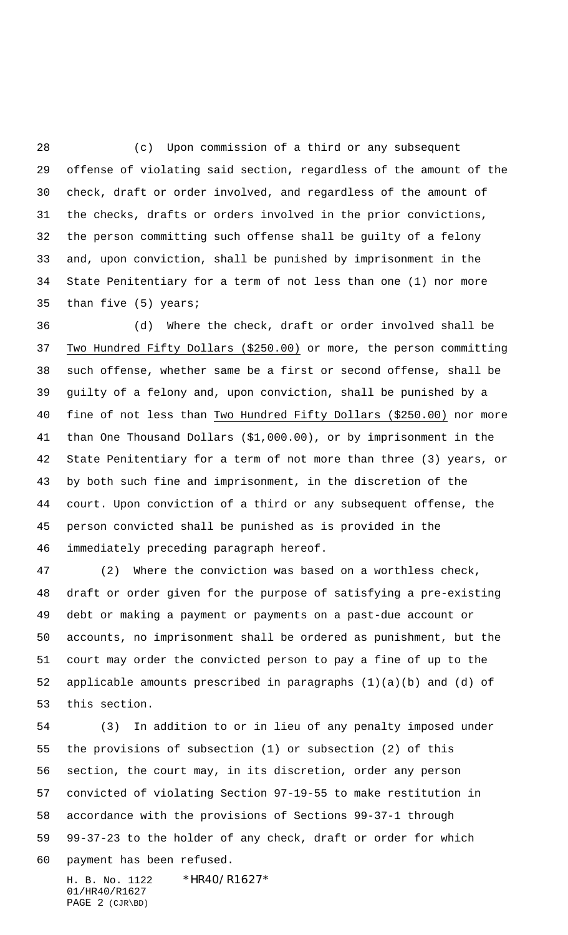28 (c) Upon commission of a third or any subsequent offense of violating said section, regardless of the amount of the check, draft or order involved, and regardless of the amount of the checks, drafts or orders involved in the prior convictions, the person committing such offense shall be guilty of a felony and, upon conviction, shall be punished by imprisonment in the State Penitentiary for a term of not less than one (1) nor more than five (5) years;

36 (d) Where the check, draft or order involved shall be Two Hundred Fifty Dollars (\$250.00) or more, the person committing such offense, whether same be a first or second offense, shall be guilty of a felony and, upon conviction, shall be punished by a fine of not less than Two Hundred Fifty Dollars (\$250.00) nor more than One Thousand Dollars (\$1,000.00), or by imprisonment in the State Penitentiary for a term of not more than three (3) years, or by both such fine and imprisonment, in the discretion of the court. Upon conviction of a third or any subsequent offense, the person convicted shall be punished as is provided in the immediately preceding paragraph hereof.

47 (2) Where the conviction was based on a worthless check, draft or order given for the purpose of satisfying a pre-existing debt or making a payment or payments on a past-due account or accounts, no imprisonment shall be ordered as punishment, but the court may order the convicted person to pay a fine of up to the applicable amounts prescribed in paragraphs (1)(a)(b) and (d) of this section.

54 (3) In addition to or in lieu of any penalty imposed under the provisions of subsection (1) or subsection (2) of this section, the court may, in its discretion, order any person convicted of violating Section 97-19-55 to make restitution in accordance with the provisions of Sections 99-37-1 through 99-37-23 to the holder of any check, draft or order for which payment has been refused.

H. B. No. 1122 \* HR40/R1627\* 01/HR40/R1627 PAGE 2 (CJR\BD)